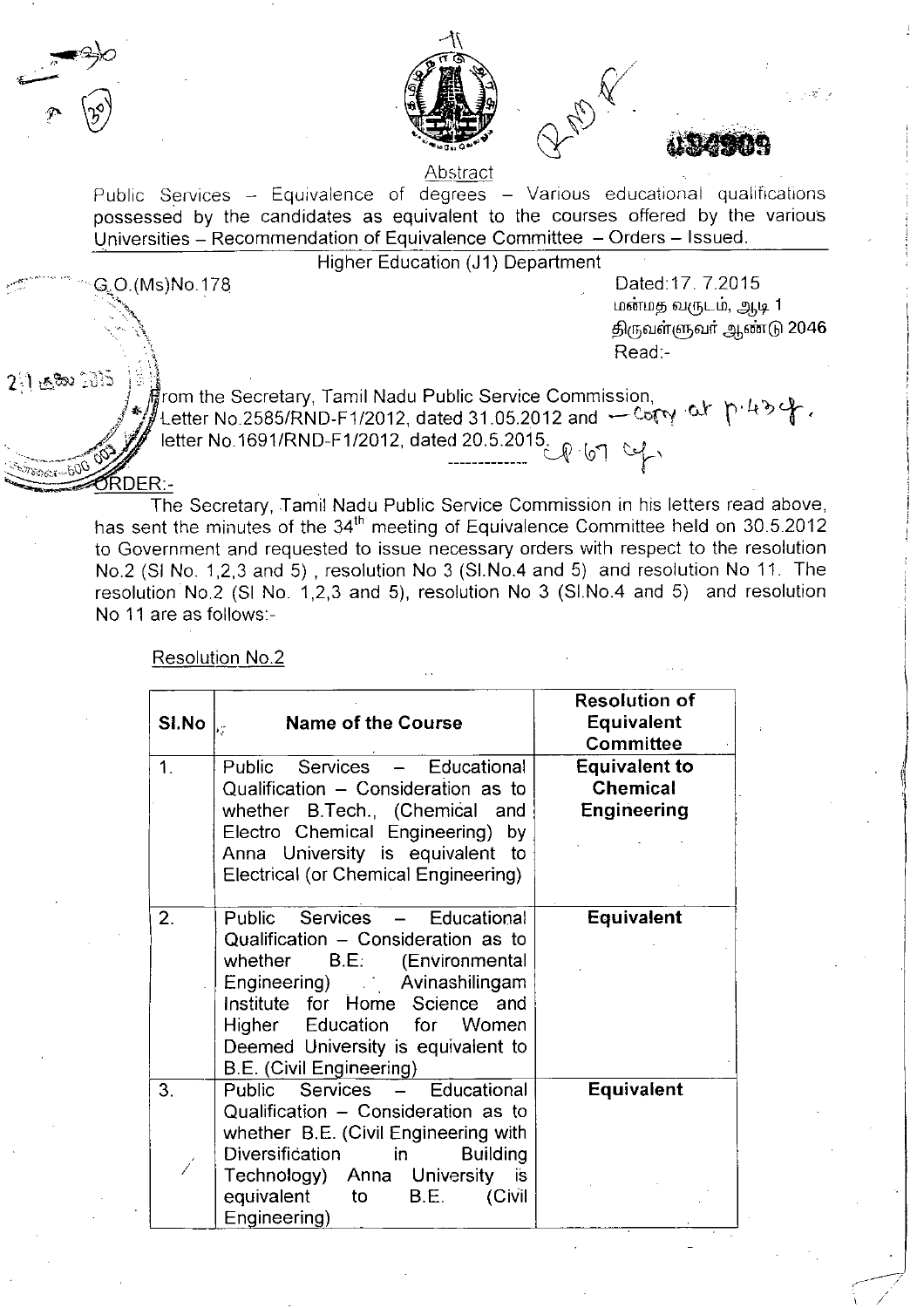





 $\mathbb{R}^{n \times n}$  ,  $\mathbb{R}^{n \times n}$ 

Abstract

Public Services - Equivalence of degrees - Various educational qualifications possessed by the candidates as equivalent to the courses offered by the various Universities - Recommendation of Equivalence Committee - Orders - Issued.

Higher Education (J1) Department

. G~O.(Ms)No.178 Dated:17. 7.2015 ் $\sum_{i=1}^{\infty}$  மன்மத வருடம், ஆடி 1 திருவள்ளுவா் ஆண்டு 2046 .. , Read:-

.--

2:1: 2: టెలి సెక్టెస్ ) : స్ట్రీ<br>స్క్రీ , స్క్రీ గ్రాంగా the Secretary, Tamil Nadu Public Service Commission, ြ၊ န္က<sup>ာလ</sup>ာပါသည္။ တြက္ျပီး ေတြက the Secretary, Tamil Nadu Public Service Commission,<br>*နဲ႔ L*etter No.2585/RND-F1/2012, dated 31.05.2012 and --- Corry -၀x ၂<sup>၀ ျ</sup>ပါတဲ့ တိုး Letter No. 2000/MND-F1/2012, dated 20.5.2015.<br>  $\begin{CD} \mathbb{C}^2 \setminus \mathbb{C}^3 \setminus \mathbb{C}^4 \end{CD}$ 

> The Secretary, Tamil Nadu Public Service Commission in his letters read above, has sent the minutes of the 34<sup>th</sup> meeting of Equivalence Committee held on 30.5.2012 to Government and requested to issue necessary orders with respect to the resolution No.2 (SI No. 1,2,3 and 5), resolution No 3 (SI.No.4 and 5) and resolution No 11. The resolution No.2 (SI No. 1,2,3 and 5), resolution No 3 (SI.No.4 and 5) and resolution No 11 are as follows:-

| SI.No | <b>Name of the Course</b>                                                                                                                                                                                                                                                     | <b>Resolution of</b><br><b>Equivalent</b><br><b>Committee</b> |
|-------|-------------------------------------------------------------------------------------------------------------------------------------------------------------------------------------------------------------------------------------------------------------------------------|---------------------------------------------------------------|
| 1.    | Public Services - Educational<br>Qualification - Consideration as to<br>whether B.Tech., (Chemical and<br>Electro Chemical Engineering) by<br>Anna University is equivalent to<br>Electrical (or Chemical Engineering)                                                        | <b>Equivalent to</b><br><b>Chemical</b><br>Engineering        |
| 2.    | Public Services - Educational<br>Qualification - Consideration as to<br>B.E.<br>whether<br>(Environmental<br>Engineering) Avinashilingam<br>Institute for Home Science and<br>Education for Women<br>Higher<br>Deemed University is equivalent to<br>B.E. (Civil Engineering) | <b>Equivalent</b>                                             |
| 3.    | Public Services - Educational<br>Qualification - Consideration as to<br>whether B.E. (Civil Engineering with<br>Diversification<br>in<br><b>Building</b><br>Technology) Anna University is<br>equivalent<br>to<br>B.E.<br>(Civil<br>Engineering)                              | <b>Equivalent</b>                                             |

Resolution NO.2

~ DER:-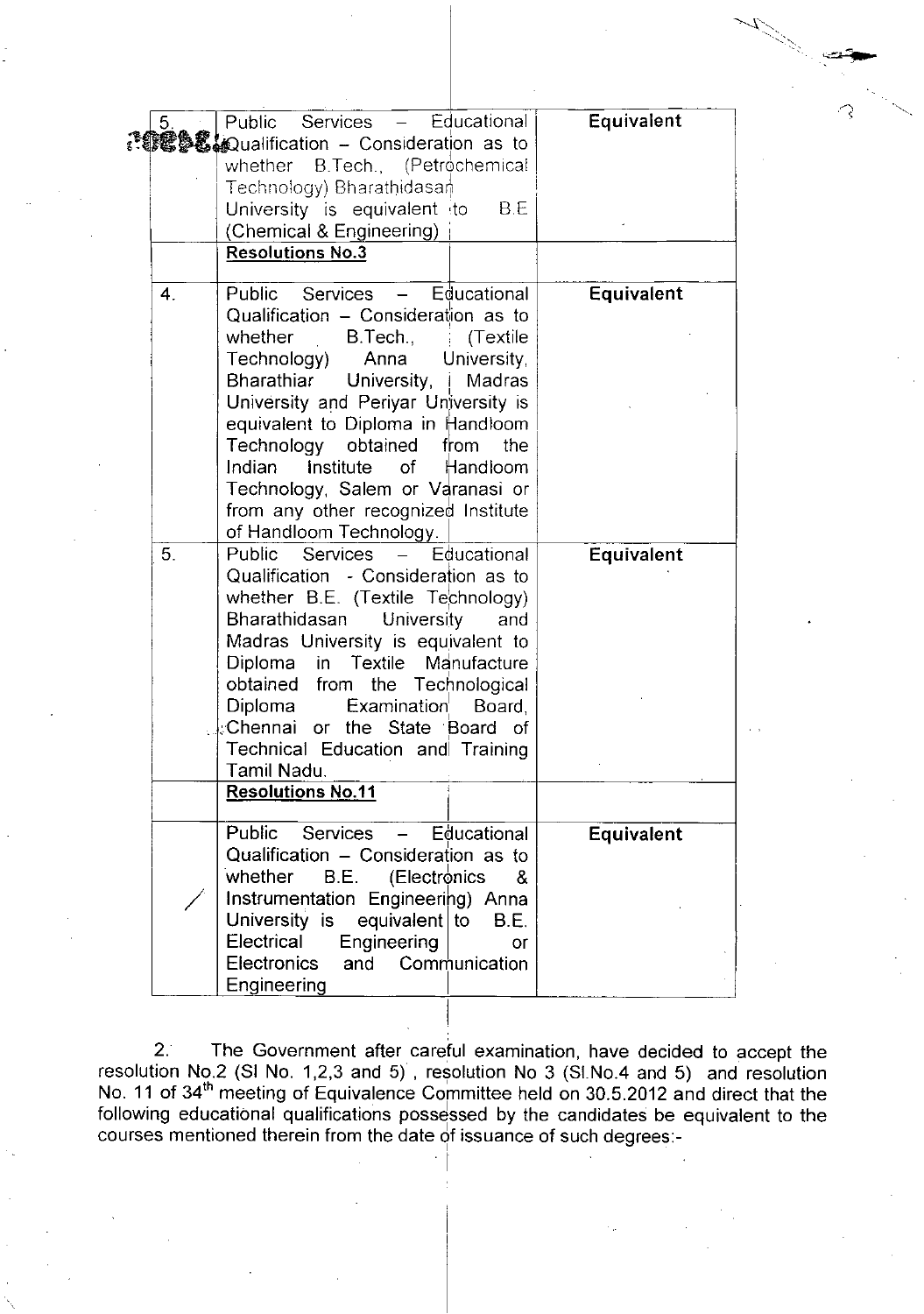| 5.             | Public Services - Educational<br><b>. 1829 € &amp; Qualification – Consideration as to</b><br>whether B.Tech., (Petrochemical<br>Technology) Bharathidasan<br>University is equivalent to<br>B E<br>(Chemical & Engineering)<br><b>Resolutions No.3</b>                                                                                                                                                                                           | Equivalent        |
|----------------|---------------------------------------------------------------------------------------------------------------------------------------------------------------------------------------------------------------------------------------------------------------------------------------------------------------------------------------------------------------------------------------------------------------------------------------------------|-------------------|
| 4.             | Public Services - Educational<br>Qualification - Consideration as to<br>whether B.Tech.,<br>(Textile)<br>Technology) Anna University,<br>Bharathiar University,<br>Madras<br>University and Periyar University is<br>equivalent to Diploma in Handloom<br>Technology obtained from<br>the<br><b>Institute</b> of Handloom<br>Indian<br>Technology, Salem or Varanasi or                                                                           | Equivalent        |
| 5 <sub>1</sub> | from any other recognized Institute<br>of Handloom Technology.<br>Public Services - Educational<br>Qualification - Consideration as to<br>whether B.E. (Textile Technology)<br>Bharathidasan University<br>and<br>Madras University is equivalent to<br>Diploma in Textile Manufacture<br>obtained from the Technological<br>Diploma<br>Examination<br>Board,<br>Chennai or the State Board of<br>Technical Education and Training<br>Tamil Nadu. | Equivalent        |
|                | <b>Resolutions No.11</b>                                                                                                                                                                                                                                                                                                                                                                                                                          |                   |
|                | Public Services - Educational<br>Qualification - Consideration as to<br>whether<br>(Electronics<br>B.E.<br>&<br>Instrumentation Engineering) Anna<br>University is equivalent to<br>B.E.<br>Electrical<br>Engineering<br>or<br>Communication<br><b>Electronics</b><br>and<br>Engineering                                                                                                                                                          | <b>Equivalent</b> |

 $\mathscr{N}_\sim$  $\sim$ 

2. The Government after careful examination, have decided to accept the resolution No.2 (SI No. 1,2,3 and 5), resolution No 3 (SLNo.4 and 5) and resolution No. 11 of 34<sup>th</sup> meeting of Equivalence Committee held on 30.5.2012 and direct that the following educational qualifications possessed by the candidates be equivalent to the courses mentioned therein from the date of issuance of such degrees:-

> I I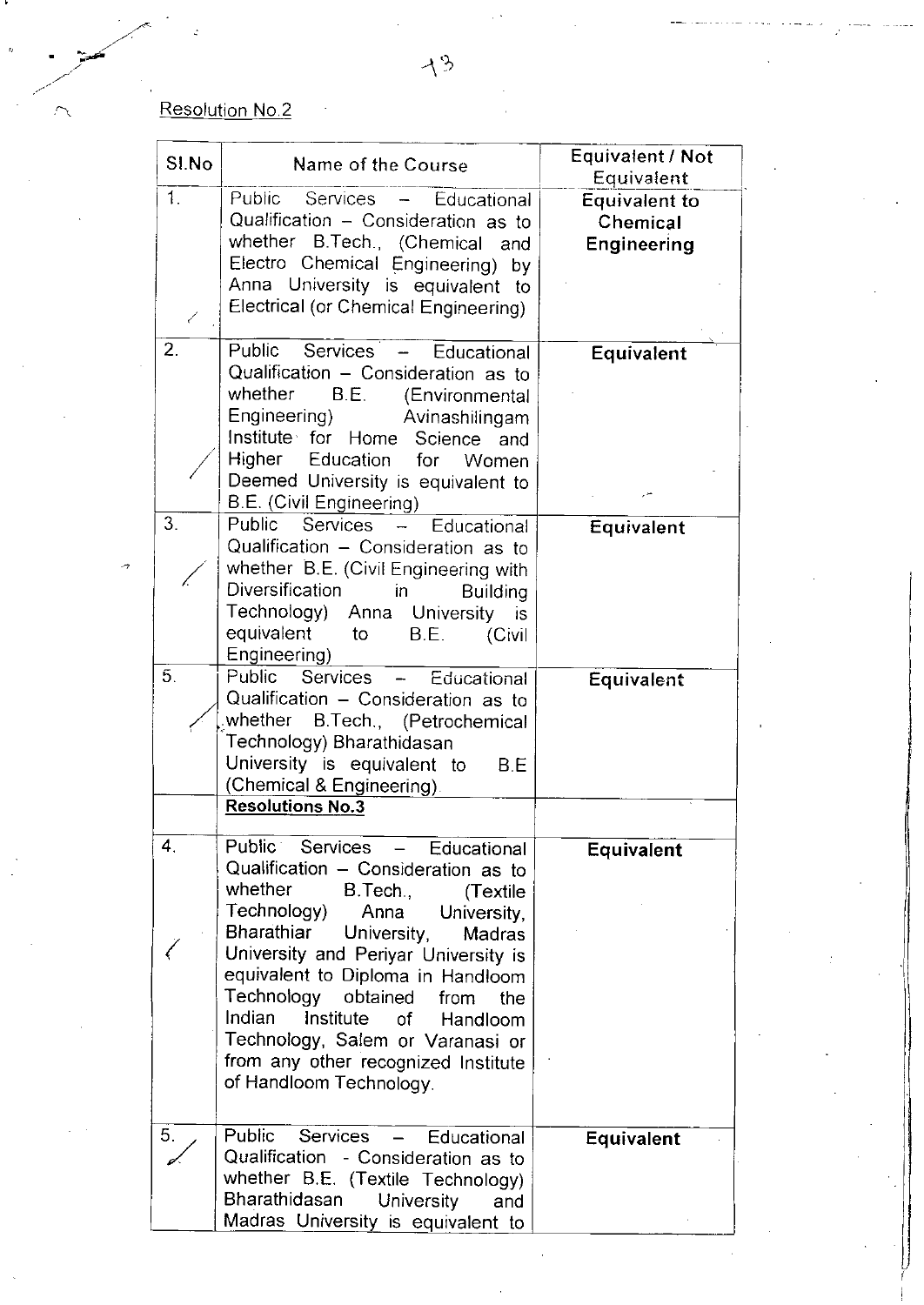## Resolution No.2

| SI.No              | Name of the Course                                                                                                                                                                                                                                                                                                                                                                                                                                          | Equivalent / Not                                       |
|--------------------|-------------------------------------------------------------------------------------------------------------------------------------------------------------------------------------------------------------------------------------------------------------------------------------------------------------------------------------------------------------------------------------------------------------------------------------------------------------|--------------------------------------------------------|
|                    |                                                                                                                                                                                                                                                                                                                                                                                                                                                             | Equivalent                                             |
| $\mathcal{L}$<br>✓ | Public Services - Educational<br>Qualification - Consideration as to<br>whether B.Tech., (Chemical<br>and<br>Electro Chemical Engineering) by<br>Anna University is equivalent to<br>Electrical (or Chemical Engineering)                                                                                                                                                                                                                                   | <b>Equivalent to</b><br>Chemical<br><b>Engineering</b> |
| 2.<br>3.           | Public Services -<br>Educational<br>Qualification - Consideration as to<br>whether<br>B.E. (Environmental<br>Engineering)<br>Avinashilingam<br>Institute for Home<br>Science<br>and<br>Higher Education for Women<br>Deemed University is equivalent to<br>B.E. (Civil Engineering)                                                                                                                                                                         | Equivalent                                             |
|                    | Public Services<br>Educational<br>$\overline{\phantom{a}}$<br>Qualification - Consideration as to<br>whether B.E. (Civil Engineering with<br>Diversification<br>in<br><b>Building</b><br>Technology) Anna University is<br>equivalent<br>B.E.<br>to<br>(Civil<br>Engineering)                                                                                                                                                                               | Equivalent                                             |
| 5.                 | Services - Educational<br>Public<br>Qualification - Consideration as to<br>whether B.Tech., (Petrochemical<br>Technology) Bharathidasan<br>University is equivalent to<br>B.E<br>(Chemical & Engineering).<br><b>Resolutions No.3</b>                                                                                                                                                                                                                       | Equivalent                                             |
|                    |                                                                                                                                                                                                                                                                                                                                                                                                                                                             |                                                        |
| 4.                 | Public<br>Services<br>Educational<br>Qualification - Consideration as to<br>whether<br>B.Tech.,<br>(Textile)<br>Technology)<br>Anna<br>University,<br>Bharathiar<br>University,<br>Madras<br>University and Periyar University is<br>equivalent to Diploma in Handloom<br>Technology obtained<br>from<br>the<br>Indian<br>Institute<br>οf<br>Handloom<br>Technology, Salem or Varanasi or<br>from any other recognized Institute<br>of Handloom Technology. | Equivalent                                             |
| 5.                 | Public Services<br>Educational<br>$\qquad \qquad -$<br>Qualification - Consideration as to<br>whether B.E. (Textile Technology)<br>Bharathidasan<br>University<br>and<br>Madras University is equivalent to                                                                                                                                                                                                                                                 | <b>Equivalent</b>                                      |